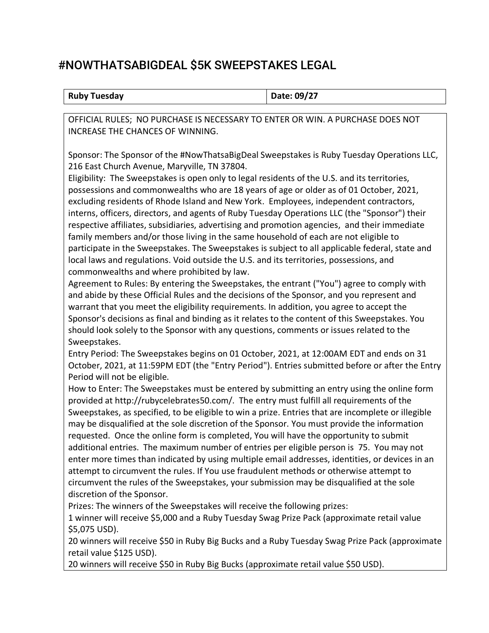## #NOWTHATSABIGDEAL \$5K SWEEPSTAKES LEGAL

| <b>Ruby Tuesday</b> | Date: 09/27 |
|---------------------|-------------|
|                     |             |

OFFICIAL RULES; NO PURCHASE IS NECESSARY TO ENTER OR WIN. A PURCHASE DOES NOT INCREASE THE CHANCES OF WINNING.

Sponsor: The Sponsor of the #NowThatsaBigDeal Sweepstakes is Ruby Tuesday Operations LLC, 216 East Church Avenue, Maryville, TN 37804.

Eligibility: The Sweepstakes is open only to legal residents of the U.S. and its territories, possessions and commonwealths who are 18 years of age or older as of 01 October, 2021, excluding residents of Rhode Island and New York. Employees, independent contractors, interns, officers, directors, and agents of Ruby Tuesday Operations LLC (the "Sponsor") their respective affiliates, subsidiaries, advertising and promotion agencies, and their immediate family members and/or those living in the same household of each are not eligible to participate in the Sweepstakes. The Sweepstakes is subject to all applicable federal, state and local laws and regulations. Void outside the U.S. and its territories, possessions, and commonwealths and where prohibited by law.

Agreement to Rules: By entering the Sweepstakes, the entrant ("You") agree to comply with and abide by these Official Rules and the decisions of the Sponsor, and you represent and warrant that you meet the eligibility requirements. In addition, you agree to accept the Sponsor's decisions as final and binding as it relates to the content of this Sweepstakes. You should look solely to the Sponsor with any questions, comments or issues related to the Sweepstakes.

Entry Period: The Sweepstakes begins on 01 October, 2021, at 12:00AM EDT and ends on 31 October, 2021, at 11:59PM EDT (the "Entry Period"). Entries submitted before or after the Entry Period will not be eligible.

How to Enter: The Sweepstakes must be entered by submitting an entry using the online form provided at http://rubycelebrates50.com/. The entry must fulfill all requirements of the Sweepstakes, as specified, to be eligible to win a prize. Entries that are incomplete or illegible may be disqualified at the sole discretion of the Sponsor. You must provide the information requested. Once the online form is completed, You will have the opportunity to submit additional entries. The maximum number of entries per eligible person is 75. You may not enter more times than indicated by using multiple email addresses, identities, or devices in an attempt to circumvent the rules. If You use fraudulent methods or otherwise attempt to circumvent the rules of the Sweepstakes, your submission may be disqualified at the sole discretion of the Sponsor.

Prizes: The winners of the Sweepstakes will receive the following prizes:

1 winner will receive \$5,000 and a Ruby Tuesday Swag Prize Pack (approximate retail value \$5,075 USD).

20 winners will receive \$50 in Ruby Big Bucks and a Ruby Tuesday Swag Prize Pack (approximate retail value \$125 USD).

20 winners will receive \$50 in Ruby Big Bucks (approximate retail value \$50 USD).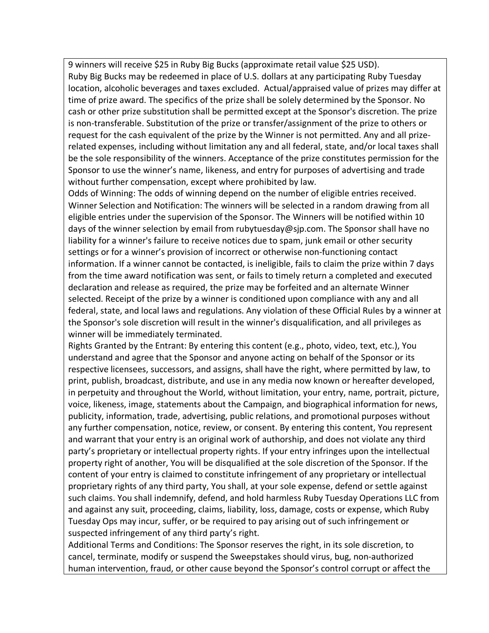9 winners will receive \$25 in Ruby Big Bucks (approximate retail value \$25 USD). Ruby Big Bucks may be redeemed in place of U.S. dollars at any participating Ruby Tuesday location, alcoholic beverages and taxes excluded. Actual/appraised value of prizes may differ at time of prize award. The specifics of the prize shall be solely determined by the Sponsor. No cash or other prize substitution shall be permitted except at the Sponsor's discretion. The prize is non-transferable. Substitution of the prize or transfer/assignment of the prize to others or request for the cash equivalent of the prize by the Winner is not permitted. Any and all prizerelated expenses, including without limitation any and all federal, state, and/or local taxes shall be the sole responsibility of the winners. Acceptance of the prize constitutes permission for the Sponsor to use the winner's name, likeness, and entry for purposes of advertising and trade without further compensation, except where prohibited by law.

Odds of Winning: The odds of winning depend on the number of eligible entries received. Winner Selection and Notification: The winners will be selected in a random drawing from all eligible entries under the supervision of the Sponsor. The Winners will be notified within 10 days of the winner selection by email from rubytuesday@sjp.com. The Sponsor shall have no liability for a winner's failure to receive notices due to spam, junk email or other security settings or for a winner's provision of incorrect or otherwise non-functioning contact information. If a winner cannot be contacted, is ineligible, fails to claim the prize within 7 days from the time award notification was sent, or fails to timely return a completed and executed declaration and release as required, the prize may be forfeited and an alternate Winner selected. Receipt of the prize by a winner is conditioned upon compliance with any and all federal, state, and local laws and regulations. Any violation of these Official Rules by a winner at the Sponsor's sole discretion will result in the winner's disqualification, and all privileges as winner will be immediately terminated.

Rights Granted by the Entrant: By entering this content (e.g., photo, video, text, etc.), You understand and agree that the Sponsor and anyone acting on behalf of the Sponsor or its respective licensees, successors, and assigns, shall have the right, where permitted by law, to print, publish, broadcast, distribute, and use in any media now known or hereafter developed, in perpetuity and throughout the World, without limitation, your entry, name, portrait, picture, voice, likeness, image, statements about the Campaign, and biographical information for news, publicity, information, trade, advertising, public relations, and promotional purposes without any further compensation, notice, review, or consent. By entering this content, You represent and warrant that your entry is an original work of authorship, and does not violate any third party's proprietary or intellectual property rights. If your entry infringes upon the intellectual property right of another, You will be disqualified at the sole discretion of the Sponsor. If the content of your entry is claimed to constitute infringement of any proprietary or intellectual proprietary rights of any third party, You shall, at your sole expense, defend or settle against such claims. You shall indemnify, defend, and hold harmless Ruby Tuesday Operations LLC from and against any suit, proceeding, claims, liability, loss, damage, costs or expense, which Ruby Tuesday Ops may incur, suffer, or be required to pay arising out of such infringement or suspected infringement of any third party's right.

Additional Terms and Conditions: The Sponsor reserves the right, in its sole discretion, to cancel, terminate, modify or suspend the Sweepstakes should virus, bug, non-authorized human intervention, fraud, or other cause beyond the Sponsor's control corrupt or affect the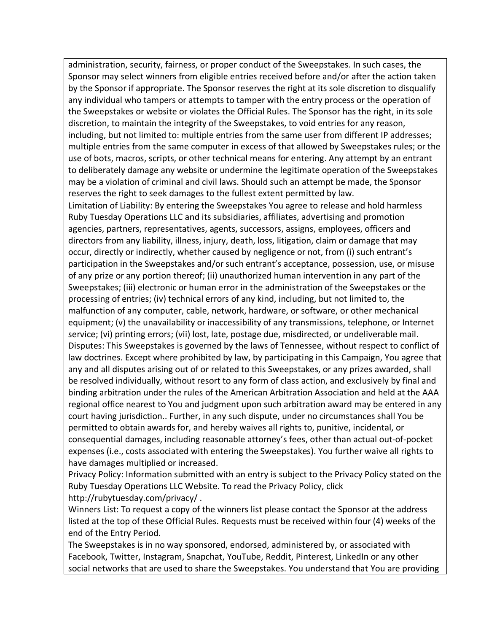administration, security, fairness, or proper conduct of the Sweepstakes. In such cases, the Sponsor may select winners from eligible entries received before and/or after the action taken by the Sponsor if appropriate. The Sponsor reserves the right at its sole discretion to disqualify any individual who tampers or attempts to tamper with the entry process or the operation of the Sweepstakes or website or violates the Official Rules. The Sponsor has the right, in its sole discretion, to maintain the integrity of the Sweepstakes, to void entries for any reason, including, but not limited to: multiple entries from the same user from different IP addresses; multiple entries from the same computer in excess of that allowed by Sweepstakes rules; or the use of bots, macros, scripts, or other technical means for entering. Any attempt by an entrant to deliberately damage any website or undermine the legitimate operation of the Sweepstakes may be a violation of criminal and civil laws. Should such an attempt be made, the Sponsor reserves the right to seek damages to the fullest extent permitted by law.

Limitation of Liability: By entering the Sweepstakes You agree to release and hold harmless Ruby Tuesday Operations LLC and its subsidiaries, affiliates, advertising and promotion agencies, partners, representatives, agents, successors, assigns, employees, officers and directors from any liability, illness, injury, death, loss, litigation, claim or damage that may occur, directly or indirectly, whether caused by negligence or not, from (i) such entrant's participation in the Sweepstakes and/or such entrant's acceptance, possession, use, or misuse of any prize or any portion thereof; (ii) unauthorized human intervention in any part of the Sweepstakes; (iii) electronic or human error in the administration of the Sweepstakes or the processing of entries; (iv) technical errors of any kind, including, but not limited to, the malfunction of any computer, cable, network, hardware, or software, or other mechanical equipment; (v) the unavailability or inaccessibility of any transmissions, telephone, or Internet service; (vi) printing errors; (vii) lost, late, postage due, misdirected, or undeliverable mail. Disputes: This Sweepstakes is governed by the laws of Tennessee, without respect to conflict of law doctrines. Except where prohibited by law, by participating in this Campaign, You agree that any and all disputes arising out of or related to this Sweepstakes, or any prizes awarded, shall be resolved individually, without resort to any form of class action, and exclusively by final and binding arbitration under the rules of the American Arbitration Association and held at the AAA regional office nearest to You and judgment upon such arbitration award may be entered in any court having jurisdiction.. Further, in any such dispute, under no circumstances shall You be permitted to obtain awards for, and hereby waives all rights to, punitive, incidental, or consequential damages, including reasonable attorney's fees, other than actual out-of-pocket expenses (i.e., costs associated with entering the Sweepstakes). You further waive all rights to have damages multiplied or increased.

Privacy Policy: Information submitted with an entry is subject to the Privacy Policy stated on the Ruby Tuesday Operations LLC Website. To read the Privacy Policy, click http://rubytuesday.com/privacy/ .

Winners List: To request a copy of the winners list please contact the Sponsor at the address listed at the top of these Official Rules. Requests must be received within four (4) weeks of the end of the Entry Period.

The Sweepstakes is in no way sponsored, endorsed, administered by, or associated with Facebook, Twitter, Instagram, Snapchat, YouTube, Reddit, Pinterest, LinkedIn or any other social networks that are used to share the Sweepstakes. You understand that You are providing